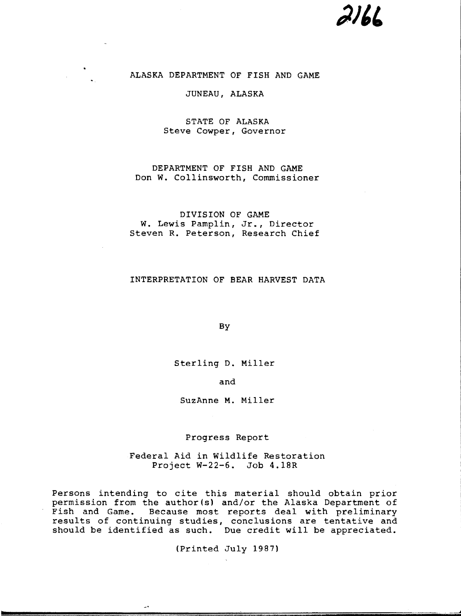# $216L$

# ALASKA DEPARTMENT OF FISH AND GAME

# JUNEAU, ALASKA

# STATE OF ALASKA Steve Cowper, Governor

# DEPARTMENT OF FISH AND GAME Don W. Collinsworth, Commissioner

# DIVISION OF GAME w. Lewis Pamplin, Jr., Director Steven R. Peterson, Research Chief

# INTERPRETATION OF BEAR HARVEST DATA

By

Sterling D. Miller

and

SuzAnne M. Miller

Progress Report

Federal Aid in Wildlife Restoration Project W-22-6. Job 4.18R

Persons intending to cite this material should obtain prior permission from the author(s) and/or the Alaska Department of Fish and Game. Because most reports deal with preliminary results of continuing studies, conclusions are tentative and should be identified as such. Due credit will be appreciated.

(Printed July 1987)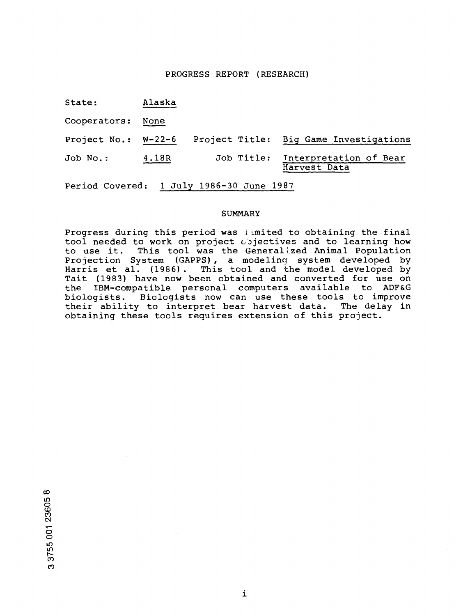# PROGRESS REPORT (RESEARCH)

| State: | Alaska |
|--------|--------|
|        |        |

Cooperators: None

Project No.: W-22-6 Project Title: Big Game Investigations Job No.: 4.18R Job Title: Interpretation of Bear Harvest Data

Period Covered: 1 July 1986-30 June 1987

### SUMMARY

Progress during this period was jimited to obtaining the final tool needed to work on project objectives and to learning how to use it. This tool was the Generalized Animal Population Projection System (GAPPS) , a modeling system developed by Harris et al. (1986). This tool and the model developed by Tait (1983) have now been obtained and converted for use on<br>the IBM-compatible personal computers available to ADF&G the IBM-compatible personal computers available to ADF&G biologists. Biologists now can use these tools to improve their ability to interpret bear harvest data. The delay in obtaining these tools requires extension of this project.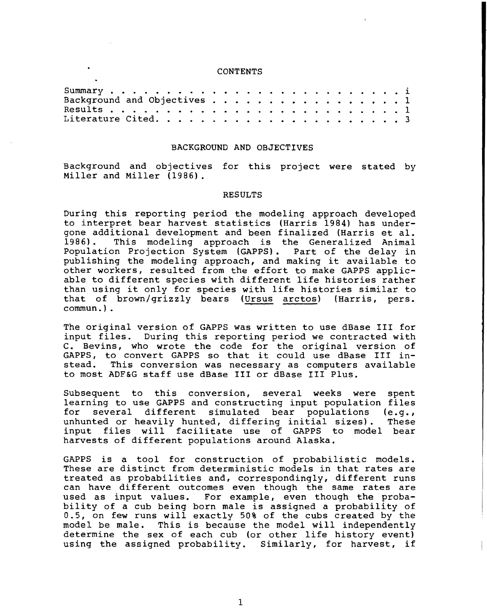# CONTENTS

| Background and Objectives 1 |  |  |  |  |  |  |  |  |  |
|-----------------------------|--|--|--|--|--|--|--|--|--|
|                             |  |  |  |  |  |  |  |  |  |
|                             |  |  |  |  |  |  |  |  |  |

#### BACKGROUND AND OBJECTIVES

Background and objectives for this project were stated by Miller and Miller (1986).

#### RESULTS

During this reporting period the modeling approach developed to interpret bear harvest statistics (Harris 1984) has undergone additional development and been finalized (Harris et al.<br>1986). This modeling approach is the Generalized Animal This modeling approach is the Generalized Animal<br>on Projection System (GAPPS). Part of the delay in Population Projection System (GAPPS). publishing the modeling approach, and making it available to other workers, resulted from the effort to make GAPPS applicable to different species with different life histories rather than using it only for species with life histories similar to that of brown/grizzly bears (Ursus arctos) (Harris, pers. commun.).

The original version of GAPPS was written to use dBase III for input files. During this reporting period we contracted with C. Bevins, who wrote the code for the original version of GAPPS, to convert GAPPS so that it could use dBase III in-<br>stead. This conversion was necessary as computers available This conversion was necessary as computers available to most ADF&G staff use dBase III or dBase III Plus.

Subsequent to this conversion, several weeks were spent learning to use GAPPS and constructing input population files for several different simulated bear populations (e.g., unhunted or heavily hunted, differing initial sizes). These input files will facilitate use of GAPPS to model bear harvests of different populations around Alaska.

GAPPS is a tool for construction of probabilistic models. These are distinct from deterministic models in that rates are treated as probabilities and, correspondingly, different runs can have different outcomes even though the same rates are used as input values. For example, even though the probability of a cub being born male is assigned a probability of 0.5, on few runs will exactly 50% of the cubs created by the model be male. This is because the model will independently determine the sex of each cub (or other life history event) using the assigned probability. Similarly, for harvest, if

1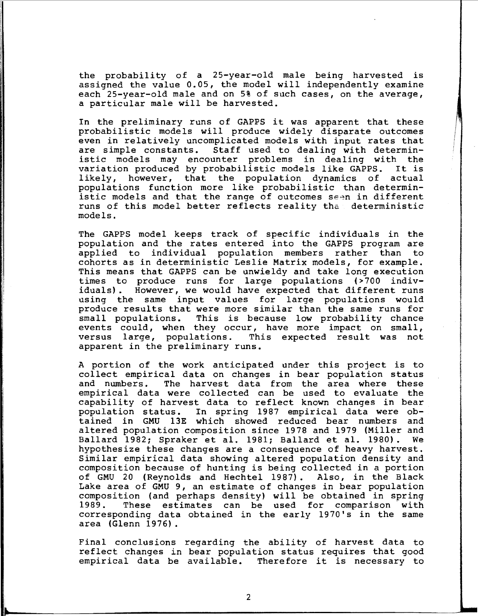the probability of a 25-year-old male being harvested is assigned the value 0.05, the model will independently examine each 25-year-old male and on 5% of such cases, on the average, a particular male will be harvested.

In the preliminary runs of GAPPS it was apparent that these probabilistic models will produce widely disparate outcomes even in relatively uncomplicated models with input rates that are simple constants. Staff used to dealing with deterministic models may encounter problems in dealing with the<br>variation produced by probabilistic models like GAPPS. It is variation produced by probabilistic models like GAPPS. It is<br>likely, however, that the population dynamics of actual likely, however, that the population dynamics of populations function more like probabilistic than deterministic models and that the range of outcomes se~n in different runs of this model better reflects reality tha deterministic models.

The GAPPS model keeps track of specific individuals in the population and the rates entered into the GAPPS program are applied to individual population members rather than to cohorts as in deterministic Leslie Matrix models, for example. This means that GAPPS can be unwieldy and take long execution times to produce runs for large populations (>700 individuals). However, we would have expected that different runs using the same input values for large populations would produce results that were more similar than the same runs for small populations. This is because low probability chance events could, when they occur, have more impact on small, versus large, populations. This expected result was not apparent in the preliminary runs.

A portion of the work anticipated under this project is to collect empirical data on changes in bear population status and numbers. The harvest data from the area where these empirical data were collected can be used to evaluate the capability of harvest data to reflect known changes in bear In spring 1987 empirical data were obtained in GMU 13E which showed reduced bear numbers and altered population composition since 1978 and 1979 (Miller and Ballard 1982; Spraker et al. 1981; Ballard et al. 1980). We hypothesize these changes are a consequence of heavy harvest. Similar empirical data showing altered population density and composition because of hunting is being collected in a portion of GMU 20 (Reynolds and Hechtel 1987). Also, in the Black Lake area of GMU 9, an estimate of changes in bear population composition (and perhaps density) will be obtained in spring 1989. These estimates can be used for comparison with corresponding data obtained in the early 1970's in the same area (Glenn 1976).

Final conclusions regarding the ability of harvest data to reflect changes in bear population status requires that good empirical data be available. Therefore it is necessary to

....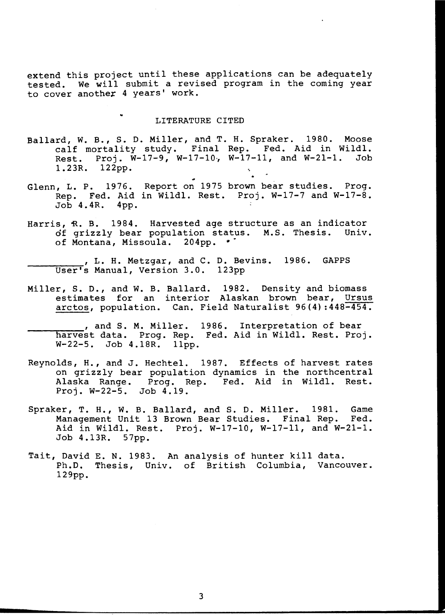extend this project until these applications can be adequately tested. We will submit a revised program in the coming year to cover another 4 years' work .

# LITERATURE CITED

- Ballard, w. B., S. D. Miller, and T. H. Spraker. 1980. Moose calf mortality study. Final Rep. Fed. Aid in Wildl. Rest. Proj.  $\bar{W}-17-9$ ,  $W-17-10$ ,  $W-17-11$ , and  $W-21-1$ . Job 1.23R. 122pp.
- Glenn, L. P. 1976. Report on 1975 brown bear studies. Prog. Rep. Fed. Aid in Wildl. Rest. Proj. W-17-7 and W-17-8. Job 4. 4R. 4pp.
- Harris, R. B. 1984. Harvested age structure as an indicator of grizzly bear population status. M.S. Thesis. Univ. of Montana, Missoula. 204pp. •
	- , L. H. Metzgar, and C. D. Bevins. 1986. GAPPS<br>User's Manual, Version 3.0. 123pp
- Miller, s. D., and W. B. Ballard. 1982. Density and biomass estimates for an interior Alaskan brown bear, Ursus arctos, population. Can. Field Naturalist 96(4) :448-454.
- , and S. M. Miller. 1986. Interpretation of bear harvest data. Prog. Rep. Fed. Aid in Wildl. Rest. Proj. W-22-5. Job 4.18R. 11pp.
- Reynolds, H., and J. Hechtel. 1987. Effects of harvest rates on grizzly bear population dynamics in the northcentral Alaska Range. Prog. Rep. Fed. Aid in Wildl. Rest. Proj. W-22-5. Job 4.19.
- Spraker, T. H., W. B. Ballard, and S. D. Miller. 1981. Game<br>Management Unit 13 Brown Bear Studies. Final Rep. Fed. Management Unit 13 Brown Bear Studies. Final Rep. Aid in Wildl. Rest. Proj. W-17-10, W-17-11, and W-21-1. Job 4.13R. 57pp.
- Tait, David E. N. 1983. An analysis of hunter kill data. Ph.D. Thesis, Univ. of British Columbia, Vancouver. 129pp.